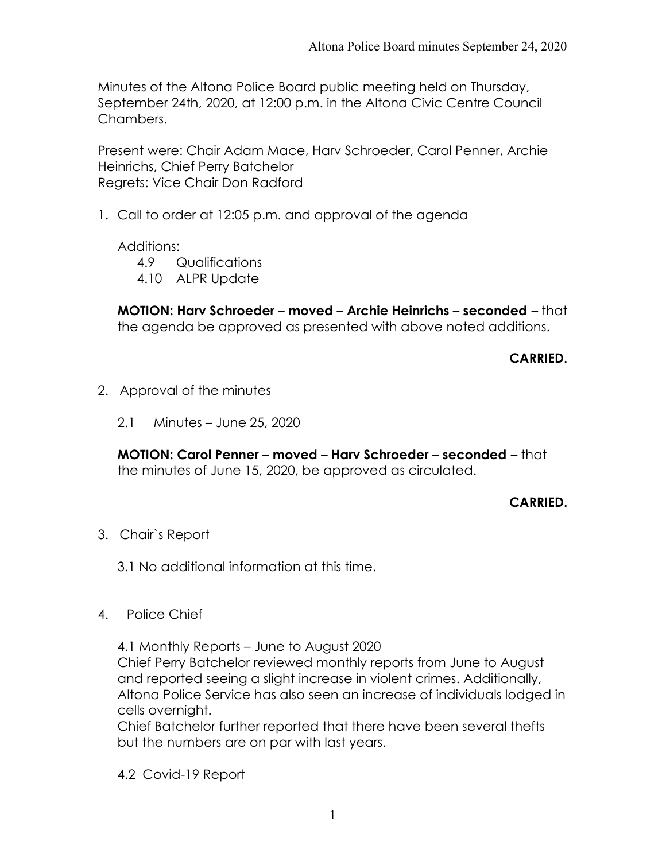Minutes of the Altona Police Board public meeting held on Thursday, September 24th, 2020, at 12:00 p.m. in the Altona Civic Centre Council Chambers.

Present were: Chair Adam Mace, Harv Schroeder, Carol Penner, Archie Heinrichs, Chief Perry Batchelor Regrets: Vice Chair Don Radford

1. Call to order at 12:05 p.m. and approval of the agenda

Additions:

- 4.9 Qualifications
- 4.10 ALPR Update

MOTION: Harv Schroeder – moved – Archie Heinrichs – seconded – that the agenda be approved as presented with above noted additions.

CARRIED.

- 2. Approval of the minutes
	- 2.1 Minutes June 25, 2020

MOTION: Carol Penner – moved – Harv Schroeder – seconded – that the minutes of June 15, 2020, be approved as circulated.

### CARRIED.

- 3. Chair`s Report
	- 3.1 No additional information at this time.
- 4. Police Chief

4.1 Monthly Reports – June to August 2020 Chief Perry Batchelor reviewed monthly reports from June to August and reported seeing a slight increase in violent crimes. Additionally, Altona Police Service has also seen an increase of individuals lodged in cells overnight.

Chief Batchelor further reported that there have been several thefts but the numbers are on par with last years.

4.2 Covid-19 Report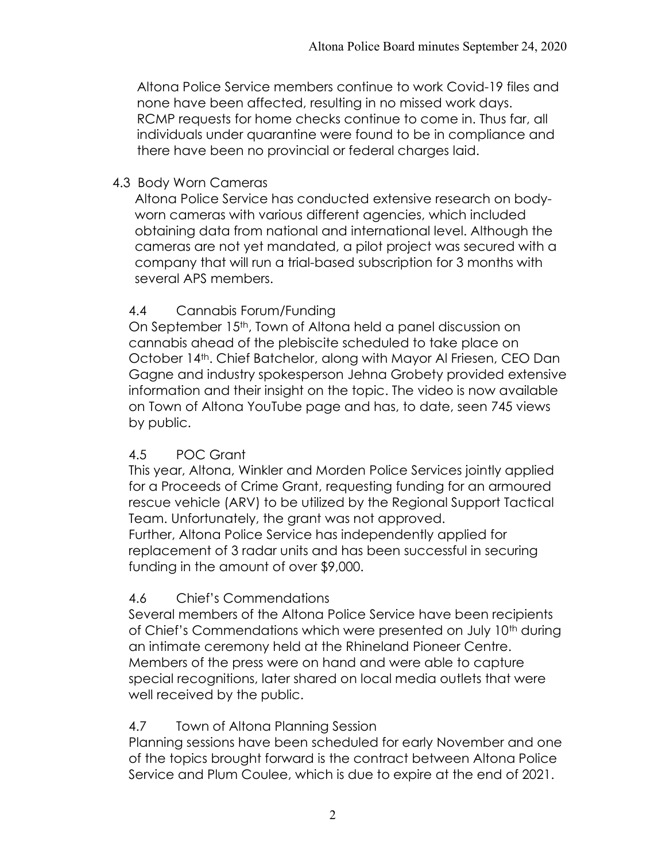Altona Police Service members continue to work Covid-19 files and none have been affected, resulting in no missed work days. RCMP requests for home checks continue to come in. Thus far, all individuals under quarantine were found to be in compliance and there have been no provincial or federal charges laid.

### 4.3 Body Worn Cameras

Altona Police Service has conducted extensive research on bodyworn cameras with various different agencies, which included obtaining data from national and international level. Although the cameras are not yet mandated, a pilot project was secured with a company that will run a trial-based subscription for 3 months with several APS members.

## 4.4 Cannabis Forum/Funding

On September 15<sup>th</sup>, Town of Altona held a panel discussion on cannabis ahead of the plebiscite scheduled to take place on October 14th. Chief Batchelor, along with Mayor Al Friesen, CEO Dan Gagne and industry spokesperson Jehna Grobety provided extensive information and their insight on the topic. The video is now available on Town of Altona YouTube page and has, to date, seen 745 views by public.

### 4.5 POC Grant

This year, Altona, Winkler and Morden Police Services jointly applied for a Proceeds of Crime Grant, requesting funding for an armoured rescue vehicle (ARV) to be utilized by the Regional Support Tactical Team. Unfortunately, the grant was not approved. Further, Altona Police Service has independently applied for replacement of 3 radar units and has been successful in securing funding in the amount of over \$9,000.

# 4.6 Chief's Commendations

Several members of the Altona Police Service have been recipients of Chief's Commendations which were presented on July 10<sup>th</sup> during an intimate ceremony held at the Rhineland Pioneer Centre. Members of the press were on hand and were able to capture special recognitions, later shared on local media outlets that were well received by the public.

### 4.7 Town of Altona Planning Session

Planning sessions have been scheduled for early November and one of the topics brought forward is the contract between Altona Police Service and Plum Coulee, which is due to expire at the end of 2021.